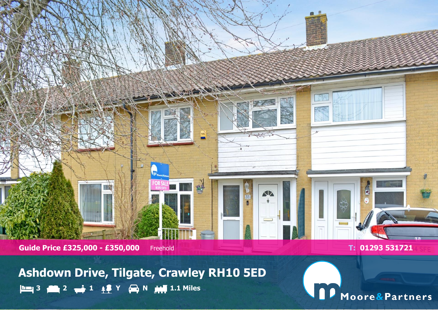

**Ashdown Drive, Tilgate, Crawley RH10 5ED 3 2 1 Y N 1.1 Miles**

Sept 200

53

目

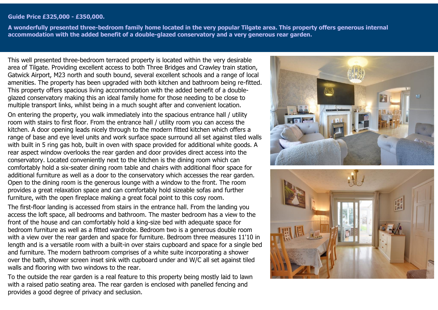#### **Guide Price £325,000 - £350,000.**

**A wonderfully presented three-bedroom family home located in the very popular Tilgate area. This property offers generous internal accommodation with the added benefit of a double-glazed conservatory and a very generous rear garden.**

This well presented three-bedroom terraced property is located within the very desirable area of Tilgate. Providing excellent access to both Three Bridges and Crawley train station, Gatwick Airport, M23 north and south bound, several excellent schools and a range of local amenities. The property has been upgraded with both kitchen and bathroom being re-fitted. This property offers spacious living accommodation with the added benefit of a doubleglazed conservatory making this an ideal family home for those needing to be close to multiple transport links, whilst being in a much sought after and convenient location.

On entering the property, you walk immediately into the spacious entrance hall / utility room with stairs to first floor. From the entrance hall / utility room you can access the kitchen. A door opening leads nicely through to the modern fitted kitchen which offers a range of base and eye level units and work surface space surround all set against tiled walls with built in 5 ring gas hob, built in oven with space provided for additional white goods. A rear aspect window overlooks the rear garden and door provides direct access into the conservatory. Located conveniently next to the kitchen is the dining room which can comfortably hold a six-seater dining room table and chairs with additional floor space for additional furniture as well as a door to the conservatory which accesses the rear garden. Open to the dining room is the generous lounge with a window to the front. The room provides a great relaxation space and can comfortably hold sizeable sofas and further furniture, with the open fireplace making a great focal point to this cosy room.

The first-floor landing is accessed from stairs in the entrance hall. From the landing you access the loft space, all bedrooms and bathroom. The master bedroom has a view to the front of the house and can comfortably hold a king-size bed with adequate space for bedroom furniture as well as a fitted wardrobe. Bedroom two is a generous double room with a view over the rear garden and space for furniture. Bedroom three measures 11'10 in length and is a versatile room with a built-in over stairs cupboard and space for a single bed and furniture. The modern bathroom comprises of a white suite incorporating a shower over the bath, shower screen inset sink with cupboard under and W/C all set against tiled walls and flooring with two windows to the rear.

To the outside the rear garden is a real feature to this property being mostly laid to lawn with a raised patio seating area. The rear garden is enclosed with panelled fencing and provides a good degree of privacy and seclusion.



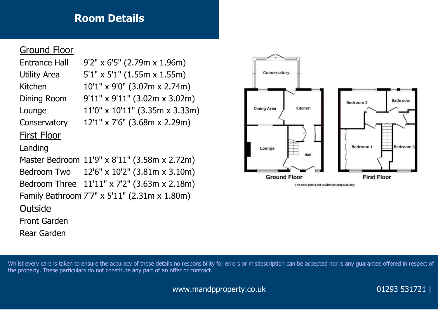# **Room Details**

## Ground Floor

Entrance Hall 9'2" x 6'5" (2.79m x 1.96m) Utility Area 5'1" x 5'1" (1.55m x 1.55m) Kitchen 10'1" x 9'0" (3.07m x 2.74m) Dining Room 9'11" x 9'11" (3.02m x 3.02m) Lounge 11'0" x 10'11" (3.35m x 3.33m) Conservatory 12'1" x 7'6" (3.68m x 2.29m)

### First Floor

#### Landing

Master Bedroom 11'9" x 8'11" (3.58m x 2.72m) Bedroom Two 12'6" x 10'2" (3.81m x 3.10m) Bedroom Three 11'11" x 7'2" (3.63m x 2.18m) Family Bathroom 7'7" x 5'11" (2.31m x 1.80m)

#### **Outside**

Front Garden

Rear Garden



Whilst every care is taken to ensure the accuracy of these details no responsibility for errors or misdescription can be accepted nor is any guarantee offered in respect of the property. These particulars do not constitute any part of an offer or contract.